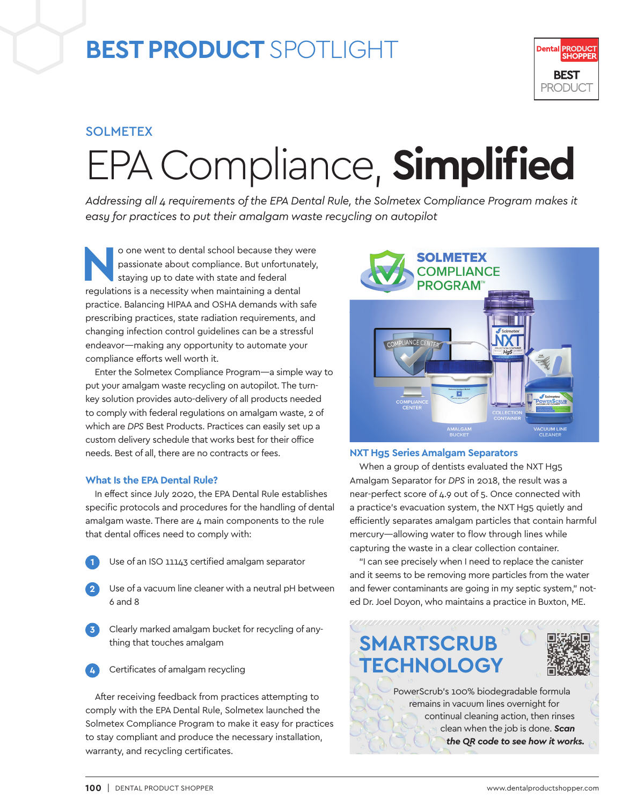## **BEST PRODUCT** SPOTLIGHT



#### SOLMETEX

# EPA Compliance, **Simplified**

*Addressing all 4 requirements of the EPA Dental Rule, the Solmetex Compliance Program makes it easy for practices to put their amalgam waste recycling on autopilot*

**No one went to dental school because they were<br>passionate about compliance. But unfortunately,<br>staying up to date with state and federal<br>and the state of the second terms of the second terms of the second terms<br>of the sec** passionate about compliance. But unfortunately, staying up to date with state and federal regulations is a necessity when maintaining a dental practice. Balancing HIPAA and OSHA demands with safe prescribing practices, state radiation requirements, and changing infection control guidelines can be a stressful endeavor—making any opportunity to automate your compliance efforts well worth it.

Enter the Solmetex Compliance Program—a simple way to put your amalgam waste recycling on autopilot. The turnkey solution provides auto-delivery of all products needed to comply with federal regulations on amalgam waste, 2 of which are *DPS* Best Products. Practices can easily set up a custom delivery schedule that works best for their office needs. Best of all, there are no contracts or fees.

#### **What Is the EPA Dental Rule?**

In effect since July 2020, the EPA Dental Rule establishes specific protocols and procedures for the handling of dental amalgam waste. There are 4 main components to the rule that dental offices need to comply with:

- Use of an ISO 11143 certified amalgam separator
- **2** Use of a vacuum line cleaner with a neutral pH between 6 and 8
- **3** Clearly marked amalgam bucket for recycling of anything that touches amalgam



**Certificates of amalgam recycling** 

After receiving feedback from practices attempting to comply with the EPA Dental Rule, Solmetex launched the Solmetex Compliance Program to make it easy for practices to stay compliant and produce the necessary installation, warranty, and recycling certificates.



#### **NXT Hg5 Series Amalgam Separators**

When a group of dentists evaluated the NXT Hg5 Amalgam Separator for *DPS* in 2018, the result was a near-perfect score of 4.9 out of 5. Once connected with a practice's evacuation system, the NXT Hg5 quietly and efficiently separates amalgam particles that contain harmful mercury—allowing water to flow through lines while capturing the waste in a clear collection container.

"I can see precisely when I need to replace the canister and it seems to be removing more particles from the water and fewer contaminants are going in my septic system," noted Dr. Joel Doyon, who maintains a practice in Buxton, ME.



remains in vacuum lines overnight for continual cleaning action, then rinses clean when the job is done. *Scan the QR code to see how it works.*